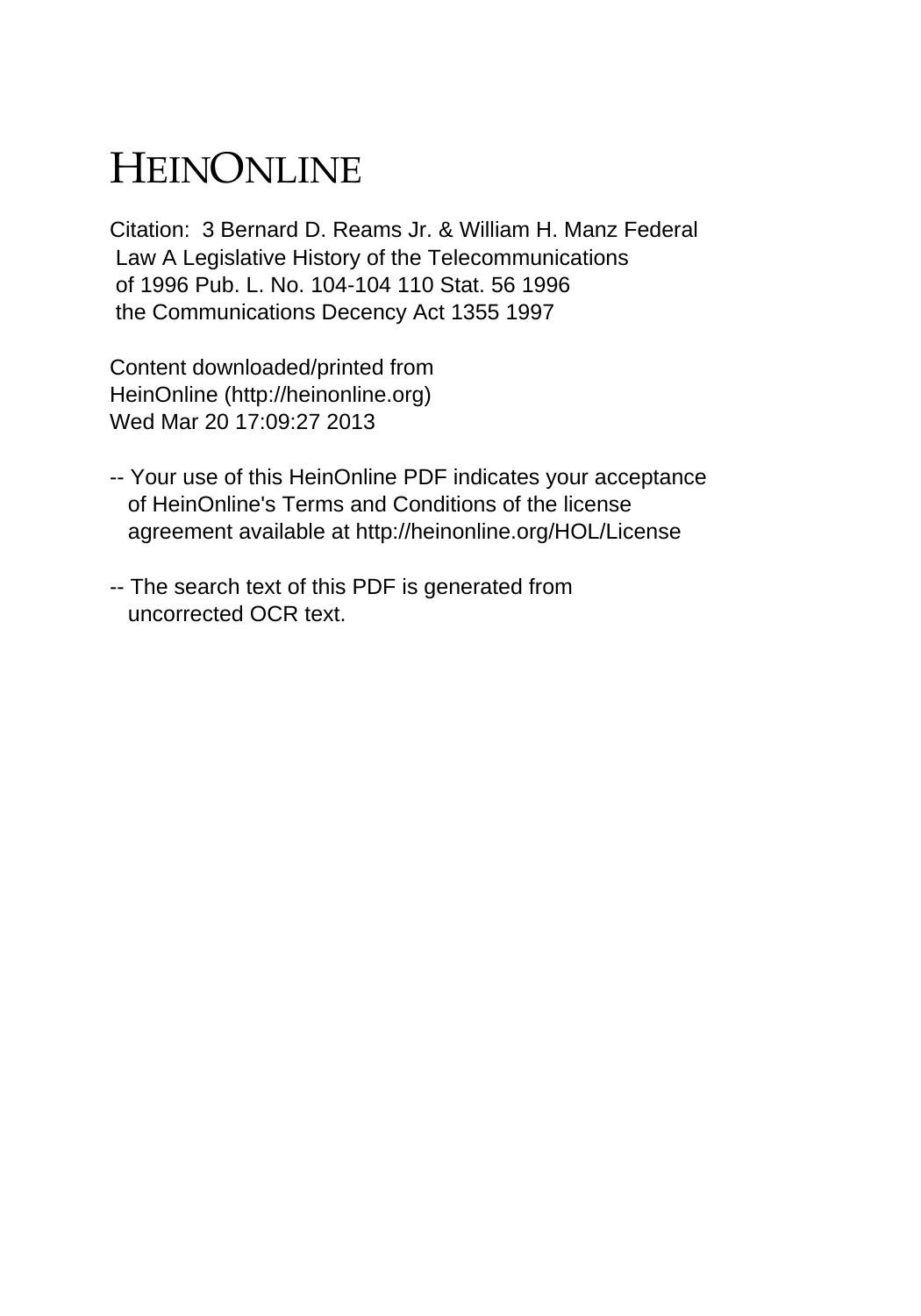## HEINONLINE

Citation: 3 Bernard D. Reams Jr. & William H. Manz Federal Law A Legislative History of the Telecommunications of 1996 Pub. L. No. 104-104 110 Stat. 56 1996 the Communications Decency Act 1355 1997

Content downloaded/printed from HeinOnline (http://heinonline.org) Wed Mar 20 17:09:27 2013

- -- Your use of this HeinOnline PDF indicates your acceptance of HeinOnline's Terms and Conditions of the license agreement available at http://heinonline.org/HOL/License
- -- The search text of this PDF is generated from uncorrected OCR text.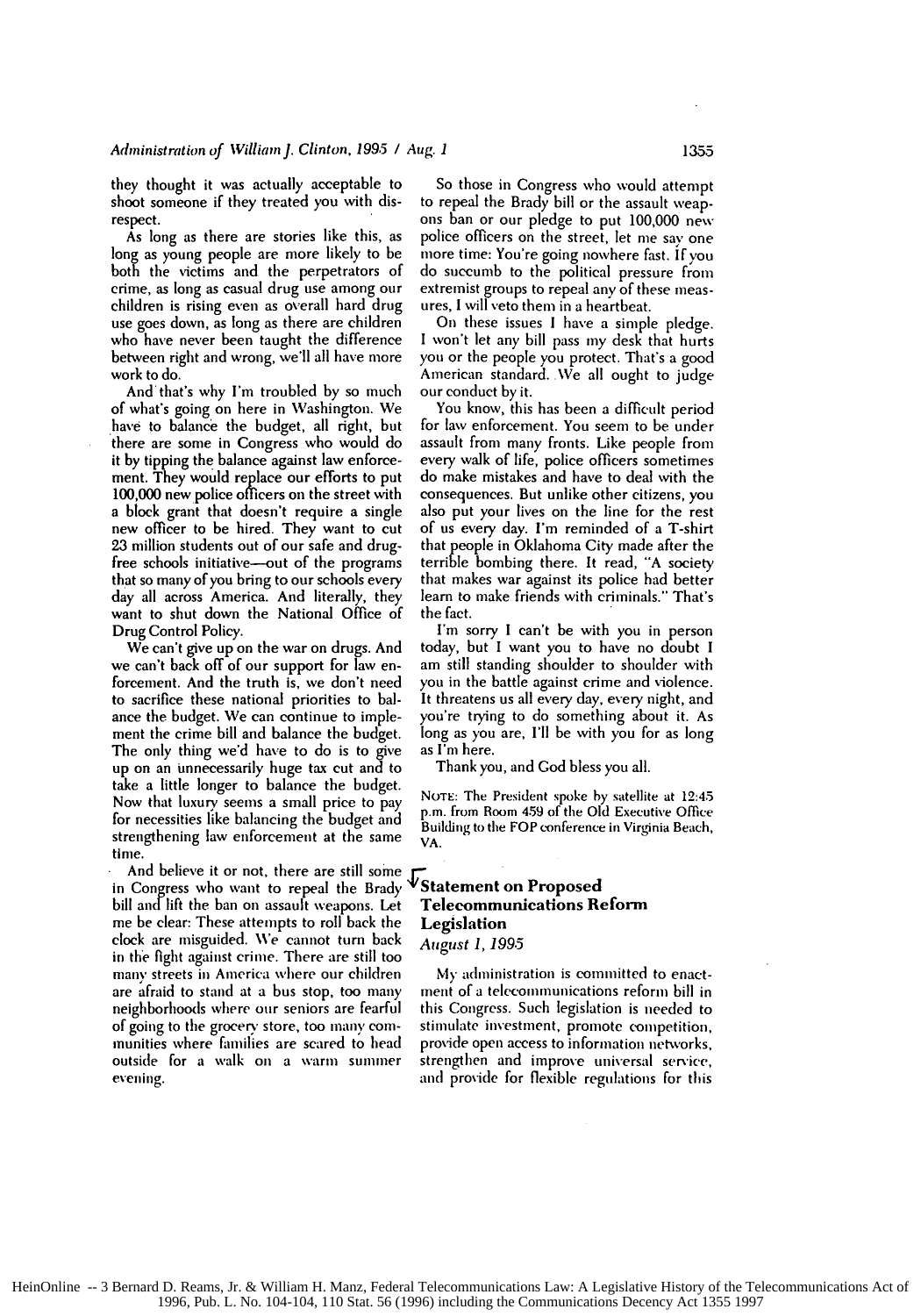they thought it was actually acceptable to shoot someone if they treated you with dis-

long as young people are more likely to be both the victims and the perpetrators of crime, as long as casual drug use among our children is rising even as overall hard drug ures, I will veto them in a heartbeat. use goes down, as long as there are children who have never been taught the difference I won't let any bill pass my desk that hurts<br>between right and wrong, we'll all have more you or the people you protect. That's a good between right and wrong, we'll all have more

And that's why I'm troubled by so much our conduct by it. of what's going on here in Washington. We have to balance the budget, all right, but there are some in Congress who would do it by tipping the balance against law enforcement. They would replace our efforts to put 100,000 new police officers on the street with a block grant that doesn't require a single new officer to be hired. They want to cut 23 million students out of our safe and drugfree schools initiative--out of the programs that so many of you bring to our schools every day all across America. And literally, they want to shut down the National Office of the fact.

We can't give up on the war on drugs. And we can't back off of our support for law enforcement. And the truth is, we don't need to sacrifice these national priorities to balance the budget. We can continue to implement the crime bill and balance the budget. The only thing we'd have to do is to give as I'm here. up on an unnecessarily huge tax cut and to Thank you, and God bless you all. take a little longer to balance the budget. Now that luxury seems a small price to pay for necessities like balancing the budget and strengthening law enforcement at the same  $\overline{VA}$ . time.

And believe it or not, there are still some **."** in Congress who want to repeal the Brady  $\mathbf{\Psi}$ Statement on Proposed in Congress who want to repeal the Brady <sup>V</sup>Statement on Proposed<br>bill and lift the ban on assault weapons. Let Telecommunications Reform me be clear: These attempts to roll back the Legislation clock are misguided. We cannot turn back *August 1, 1995* in the fight against crime. There are still too many streets in America where our children are afraid to stand at a bus stop, too many neighborhoods where our seniors are fearful of going to the grocery store, too many communities where families are scared to head outside for a walk on a warm summer evening. The contract of the contract of the second provide for flexible regulations for this

respect. ons ban or our pledge to put 100 ,000 new As long as there are stories like this, as police officers on the street, let m e say one So those in Congress who would attempt to repeal the Brady bill or the assault weapmore time: You're going nowhere fast. If you do succumb to the political pressure from extremist groups to repeal any of these meas-

work to do. American standard. We all ought to judge On these issues I have a simple pledge. I won't let any bill pass my desk that hurts

> You know, this has been a difficult period for law enforcement. You seem to be under assault from many fronts. Like people from every walk of life, police officers sometimes do make mistakes and have to deal with the consequences. But unlike other citizens, you also put your lives on the line for the rest of us every day. I'm reminded of a T-shirt that people in Oklahoma City made after the terrible bombing there. It read, "A society that makes war against its police had better learn to make friends with criminals." That's

Drug Control Policy. I'm sorry I can't be with you i n person today, but I want you to have no doubt I am still standing shoulder to shoulder with you in the battle against crime and violence. It threatens us all every day, every night, and you're trying to do something about it. As long as you are, I'll be with you for as long

NOTE: The President spoke by satellite at 12:45 p.m. from Room 459 of the Old Executive Office Building to the FOP conference in Virginia Beach,

My administration is committed to enactment of a telecommunications reform bill in this Congress. Such legislation is needed to stimulate investment, promote competition, provide open access to information networks, strengthen and improve universal service,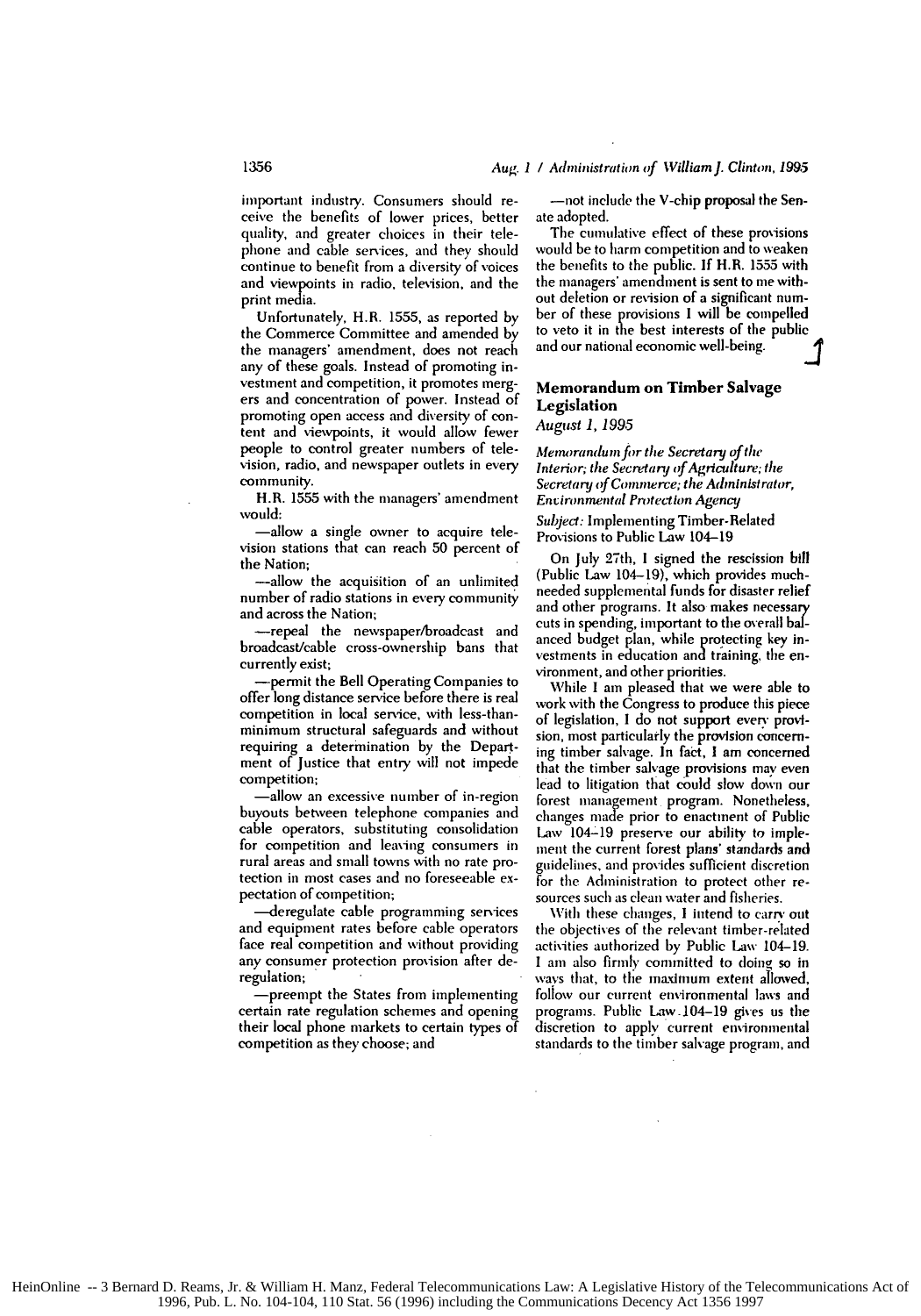important industry. Consumers should receive the benefits of lower prices, better quality, and greater choices in their telephone and cable services, and they should continue to benefit from a diversity of voices and viewpoints in radio, television, and the print media.

Unfortunately, H.R. 1555, as reported by the Commerce Committee and amended by the managers' amendment, does not reach any of these goals. Instead of promoting investment and competition, it promotes mergers and concentration of power. Instead of promoting open access and diversity of content and viewpoints, it would allow fewer people to control greater numbers of television, radio, and newspaper outlets in every community.

H.R. 1555 with the managers' amendment would:

-allow a single owner to acquire television stations that can reach 50 percent of the Nation;

--- allow the acquisition of an unlimited number of radio stations in every community and across the Nation;

-repeal the newspaper/broadcast and broadcast/cable cross-ownership bans that currently exist;

-permit the Bell Operating Companies to offer long distance service before there is real competition in local service, with less-thanminimum structural safeguards and without requiring a determination by the Department of Justice that entry will not impede competition;

-allow an excessive number of in-region buyouts between telephone companies and cable operators, substituting consolidation for competition and leaving consumers in rural areas and small towns with no rate protection in most cases and no foreseeable expectation of competition;

-deregulate cable programming services and equipment rates before cable operators face real competition and without providing any consumer protection provision after deregulation;

-preempt the States from implementing certain rate regulation schemes and opening their local phone markets to certain types of competition as they choose; and

-- not include the V-chip proposal the Senate adopted.

The cumulative effect of these provisions would be to harm competition and to weaken the benefits to the public. If H.R. 1555 with the managers' amendment is sent to me without deletion or revision of a significant number of these provisions **I** will be compelled to veto it in the best interests of the public<br>and our national economic well-being.

## **Memorandum on Timber Salvage Legislation**

*August* 1, 1995

*Memnorandur fir* the Secretary of *the* Interior; *the* Secretanj of Agriculture; the Secretary *of* Commerce; the Administrator, Enuinmental *Protection* Agency

Subject: Implementing Timber-Related Provisions to Public Law 104-19

On July 27th, I signed the rescission bill (Public Law 104-19), which provides muchneeded supplemental funds for disaster relief and other programs. It also makes necessary cuts in spending, important to the overall balanced budget plan, while protecting key investments in education and training, the environment, and other priorities.

While **I** am pleased that we were able to work with the Congress to produce this piece of legislation, **I** do not support ever. provision, most particularly the provision concerning timber salvage. In fact, I am concerned that the timber salvage provisions may even lead to litigation that could slow down our forest management program. Nonetheless, changes made prior to enactment of Public Lanw 104-19 preserve our ability to implement the current forest plans' standards and guidelines, and provides sufficient discretion for the Adninistration to protect other resources such as clean water and fisheries.

\Vith these changes, I intend to carry **out** the objectives of the relevant timber-related activities authorized by Public Law 104-19. I am also firmly committed to doing so in ways that, to the maxinum extent allowed, follow our current environmental laws and programs. Public Law.104-19 gives us the discretion to apply current environmental standards to the timber salvage program, and

1356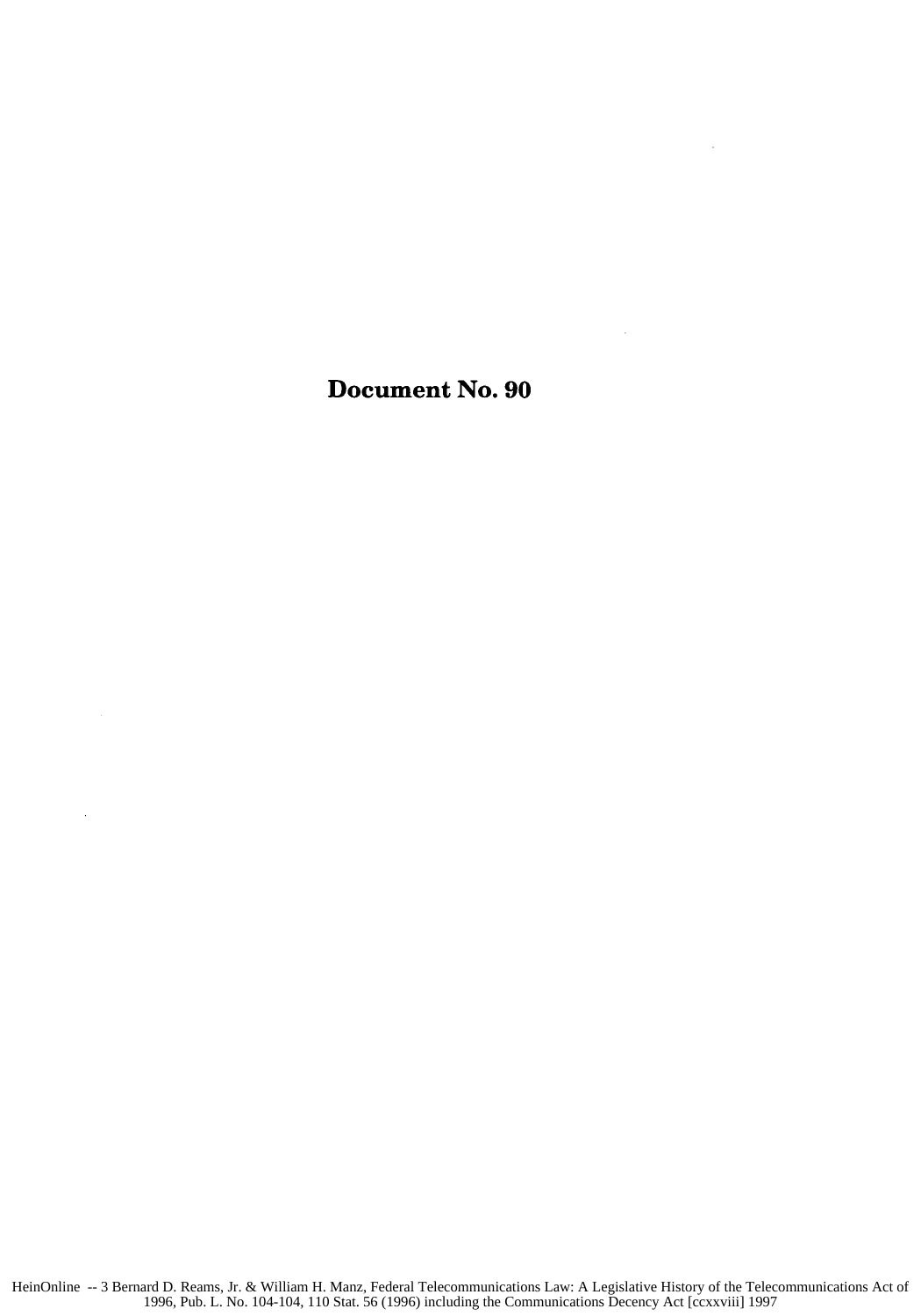Document No. **90**

l,

 $\bar{z}$